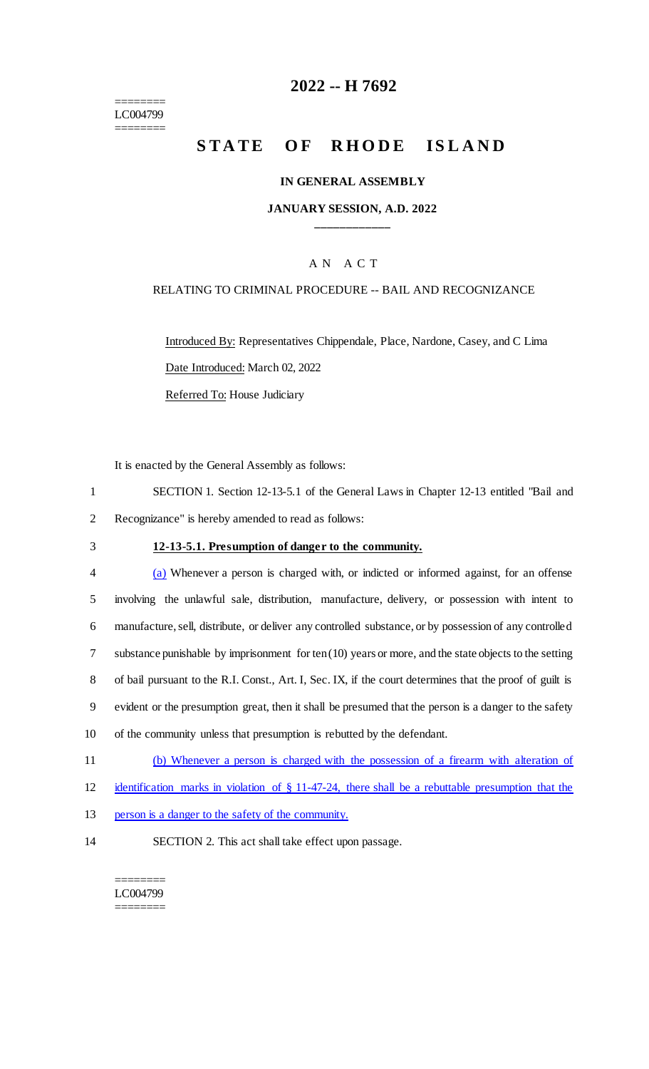======== LC004799 ========

## **2022 -- H 7692**

# **STATE OF RHODE ISLAND**

### **IN GENERAL ASSEMBLY**

## **JANUARY SESSION, A.D. 2022 \_\_\_\_\_\_\_\_\_\_\_\_**

### A N A C T

### RELATING TO CRIMINAL PROCEDURE -- BAIL AND RECOGNIZANCE

Introduced By: Representatives Chippendale, Place, Nardone, Casey, and C Lima Date Introduced: March 02, 2022 Referred To: House Judiciary

It is enacted by the General Assembly as follows:

- 1 SECTION 1. Section 12-13-5.1 of the General Laws in Chapter 12-13 entitled "Bail and 2 Recognizance" is hereby amended to read as follows:
- 

#### 3 **12-13-5.1. Presumption of danger to the community.**

| $\overline{4}$ | (a) Whenever a person is charged with, or indicted or informed against, for an offense                   |
|----------------|----------------------------------------------------------------------------------------------------------|
| 5              | involving the unlawful sale, distribution, manufacture, delivery, or possession with intent to           |
| 6              | manufacture, sell, distribute, or deliver any controlled substance, or by possession of any controlled   |
|                | substance punishable by imprisonment for $ten(10)$ years or more, and the state objects to the setting   |
| 8              | of bail pursuant to the R.I. Const., Art. I, Sec. IX, if the court determines that the proof of guilt is |
| 9              | evident or the presumption great, then it shall be presumed that the person is a danger to the safety    |
| 10             | of the community unless that presumption is rebutted by the defendant.                                   |
| 11             | (b) Whopever a person is charged with the pessession of a firearm with alteration of                     |

- 11 (b) Whenever a person is charged with the possession of a firearm with alteration of
- 12 identification marks in violation of § 11-47-24, there shall be a rebuttable presumption that the
- 13 person is a danger to the safety of the community.
- 14 SECTION 2. This act shall take effect upon passage.

#### ======== LC004799 ========